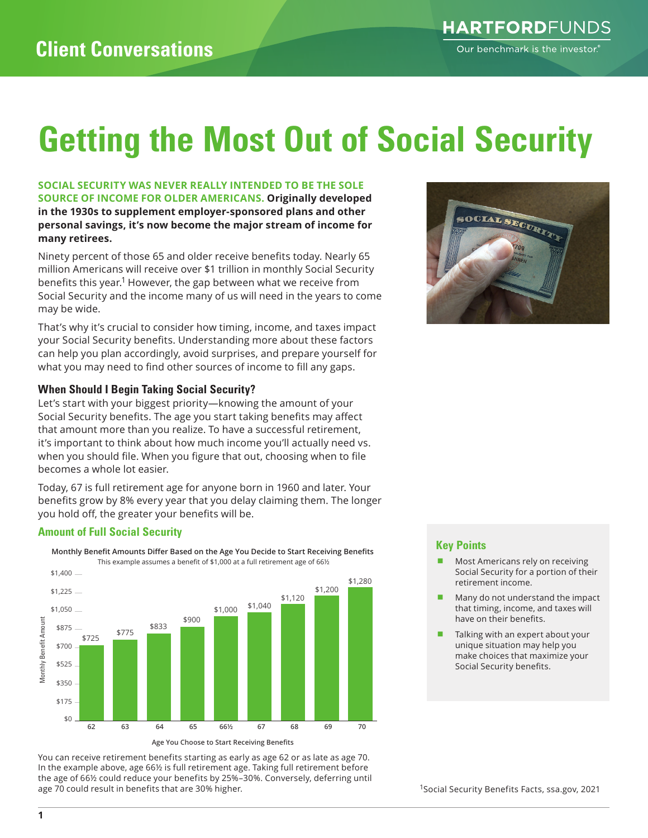# **Getting the Most Out of Social Security**

#### **SOCIAL SECURITY WAS NEVER REALLY INTENDED TO BE THE SOLE SOURCE OF INCOME FOR OLDER AMERICANS. Originally developed in the 1930s to supplement employer-sponsored plans and other personal savings, it's now become the major stream of income for many retirees.**

Ninety percent of those 65 and older receive benefits today. Nearly 65 million Americans will receive over \$1 trillion in monthly Social Security benefits this year.<sup>1</sup> However, the gap between what we receive from Social Security and the income many of us will need in the years to come may be wide.

That's why it's crucial to consider how timing, income, and taxes impact your Social Security benefits. Understanding more about these factors can help you plan accordingly, avoid surprises, and prepare yourself for what you may need to find other sources of income to fill any gaps.

### **When Should I Begin Taking Social Security?**

Let's start with your biggest priority—knowing the amount of your Social Security benefits. The age you start taking benefits may affect that amount more than you realize. To have a successful retirement, it's important to think about how much income you'll actually need vs. when you should file. When you figure that out, choosing when to file becomes a whole lot easier.

Today, 67 is full retirement age for anyone born in 1960 and later. Your benefits grow by 8% every year that you delay claiming them. The longer you hold off, the greater your benefits will be.

## **Amount of Full Social Security**



You can receive retirement benefits starting as early as age 62 or as late as age 70. In the example above, age 66½ is full retirement age. Taking full retirement before the age of 66½ could reduce your benefits by 25%–30%. Conversely, deferring until age 70 could result in benefits that are 30% higher.



### **Key Points**

- Most Americans rely on receiving Social Security for a portion of their retirement income.
- Many do not understand the impact that timing, income, and taxes will have on their benefits.
- Talking with an expert about your unique situation may help you make choices that maximize your Social Security benefits.

1Social Security Benefits Facts, ssa.gov, 2021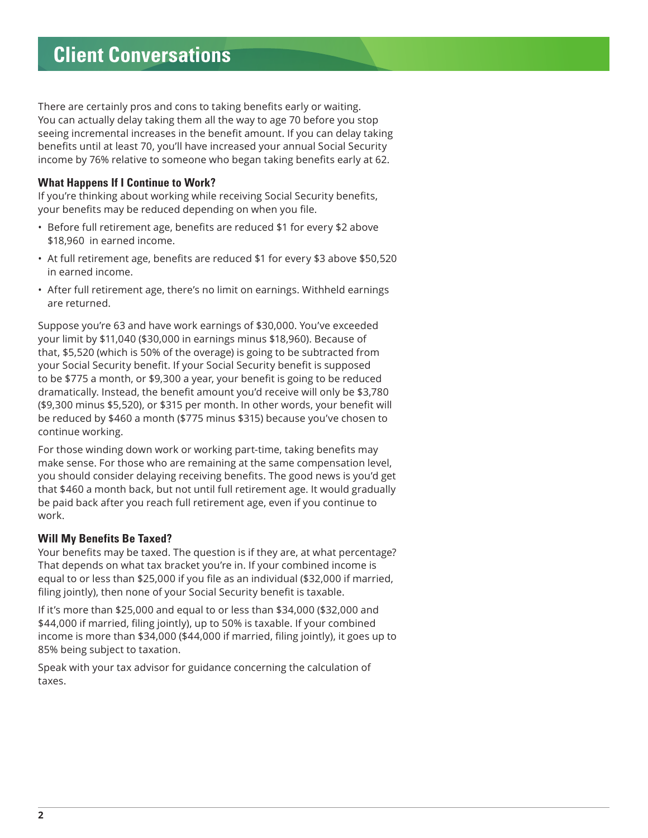# **Client Conversations**

There are certainly pros and cons to taking benefits early or waiting. You can actually delay taking them all the way to age 70 before you stop seeing incremental increases in the benefit amount. If you can delay taking benefits until at least 70, you'll have increased your annual Social Security income by 76% relative to someone who began taking benefits early at 62.

### **What Happens If I Continue to Work?**

If you're thinking about working while receiving Social Security benefits, your benefits may be reduced depending on when you file.

- Before full retirement age, benefits are reduced \$1 for every \$2 above \$18,960 in earned income.
- At full retirement age, benefits are reduced \$1 for every \$3 above \$50,520 in earned income.
- After full retirement age, there's no limit on earnings. Withheld earnings are returned.

Suppose you're 63 and have work earnings of \$30,000. You've exceeded your limit by \$11,040 (\$30,000 in earnings minus \$18,960). Because of that, \$5,520 (which is 50% of the overage) is going to be subtracted from your Social Security benefit. If your Social Security benefit is supposed to be \$775 a month, or \$9,300 a year, your benefit is going to be reduced dramatically. Instead, the benefit amount you'd receive will only be \$3,780 (\$9,300 minus \$5,520), or \$315 per month. In other words, your benefit will be reduced by \$460 a month (\$775 minus \$315) because you've chosen to continue working.

For those winding down work or working part-time, taking benefits may make sense. For those who are remaining at the same compensation level, you should consider delaying receiving benefits. The good news is you'd get that \$460 a month back, but not until full retirement age. It would gradually be paid back after you reach full retirement age, even if you continue to work.

## **Will My Benefits Be Taxed?**

Your benefits may be taxed. The question is if they are, at what percentage? That depends on what tax bracket you're in. If your combined income is equal to or less than \$25,000 if you file as an individual (\$32,000 if married, filing jointly), then none of your Social Security benefit is taxable.

If it's more than \$25,000 and equal to or less than \$34,000 (\$32,000 and \$44,000 if married, filing jointly), up to 50% is taxable. If your combined income is more than \$34,000 (\$44,000 if married, filing jointly), it goes up to 85% being subject to taxation.

Speak with your tax advisor for guidance concerning the calculation of taxes.